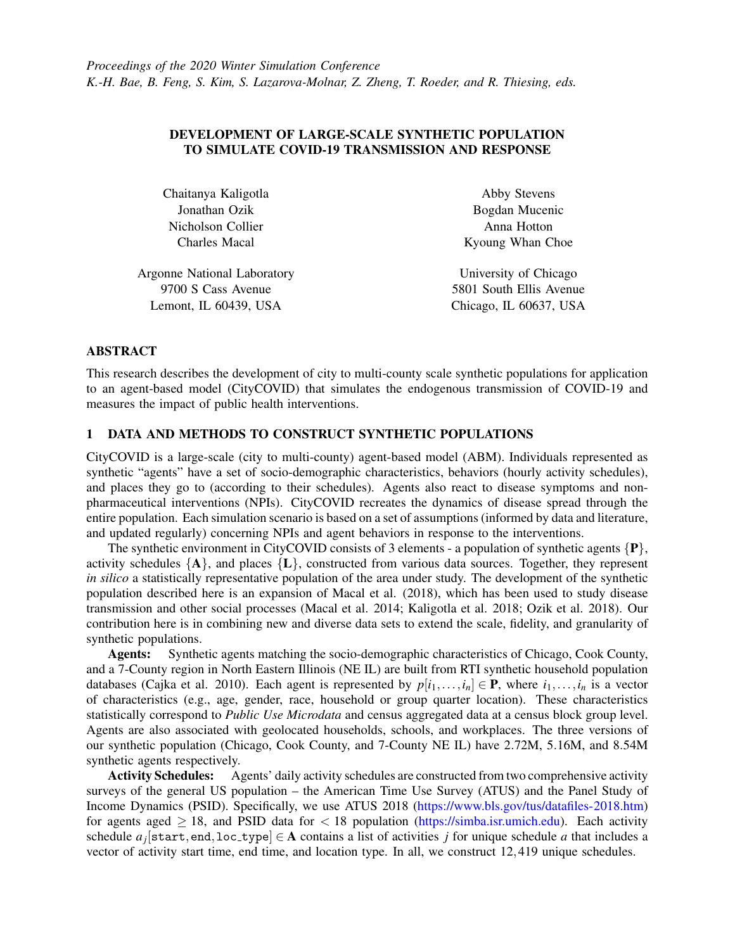## DEVELOPMENT OF LARGE-SCALE SYNTHETIC POPULATION TO SIMULATE COVID-19 TRANSMISSION AND RESPONSE

Chaitanya Kaligotla Jonathan Ozik Nicholson Collier Charles Macal

Argonne National Laboratory 9700 S Cass Avenue Lemont, IL 60439, USA

Abby Stevens Bogdan Mucenic Anna Hotton Kyoung Whan Choe

University of Chicago 5801 South Ellis Avenue Chicago, IL 60637, USA

### ABSTRACT

This research describes the development of city to multi-county scale synthetic populations for application to an agent-based model (CityCOVID) that simulates the endogenous transmission of COVID-19 and measures the impact of public health interventions.

# 1 DATA AND METHODS TO CONSTRUCT SYNTHETIC POPULATIONS

CityCOVID is a large-scale (city to multi-county) agent-based model (ABM). Individuals represented as synthetic "agents" have a set of socio-demographic characteristics, behaviors (hourly activity schedules), and places they go to (according to their schedules). Agents also react to disease symptoms and nonpharmaceutical interventions (NPIs). CityCOVID recreates the dynamics of disease spread through the entire population. Each simulation scenario is based on a set of assumptions (informed by data and literature, and updated regularly) concerning NPIs and agent behaviors in response to the interventions.

The synthetic environment in CityCOVID consists of 3 elements - a population of synthetic agents  $\{P\}$ , activity schedules  ${A}$ , and places  ${L}$ , constructed from various data sources. Together, they represent *in silico* a statistically representative population of the area under study. The development of the synthetic population described here is an expansion of [Macal et al. \(2018\),](#page-1-0) which has been used to study disease transmission and other social processes [\(Macal et al. 2014;](#page-1-1) [Kaligotla et al. 2018;](#page-1-2) [Ozik et al. 2018\)](#page-1-3). Our contribution here is in combining new and diverse data sets to extend the scale, fidelity, and granularity of synthetic populations.

Agents: Synthetic agents matching the socio-demographic characteristics of Chicago, Cook County, and a 7-County region in North Eastern Illinois (NE IL) are built from RTI synthetic household population databases [\(Cajka et al. 2010\)](#page-1-4). Each agent is represented by  $p[i_1, \ldots, i_n] \in \mathbf{P}$ , where  $i_1, \ldots, i_n$  is a vector of characteristics (e.g., age, gender, race, household or group quarter location). These characteristics statistically correspond to *Public Use Microdata* and census aggregated data at a census block group level. Agents are also associated with geolocated households, schools, and workplaces. The three versions of our synthetic population (Chicago, Cook County, and 7-County NE IL) have 2.72M, 5.16M, and 8.54M synthetic agents respectively.

Activity Schedules: Agents' daily activity schedules are constructed from two comprehensive activity surveys of the general US population – the American Time Use Survey (ATUS) and the Panel Study of Income Dynamics (PSID). Specifically, we use ATUS 2018 [\(https://www.bls.gov/tus/datafiles-2018.htm\)](https://www.bls.gov/tus/datafiles-2018.htm) for agents aged  $\geq$  18, and PSID data for  $\lt$  18 population [\(https://simba.isr.umich.edu\)](https://simba.isr.umich.edu). Each activity schedule  $a_j$ [start,end,loc\_type]  $\in$  A contains a list of activities *j* for unique schedule *a* that includes a vector of activity start time, end time, and location type. In all, we construct 12,419 unique schedules.